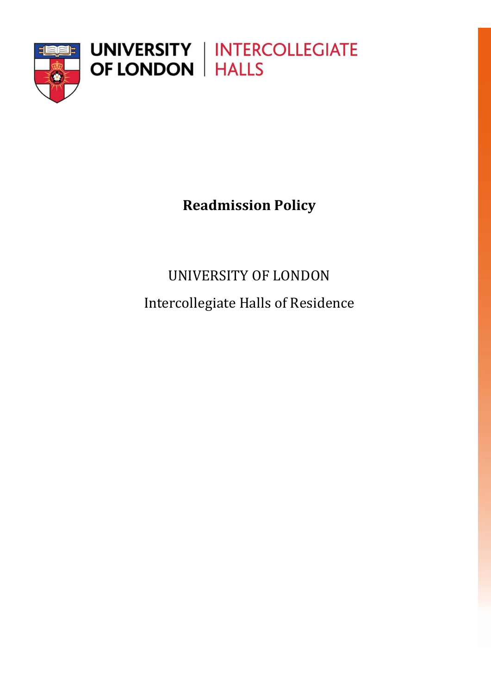

**Readmission Policy**

UNIVERSITY OF LONDON Intercollegiate Halls of Residence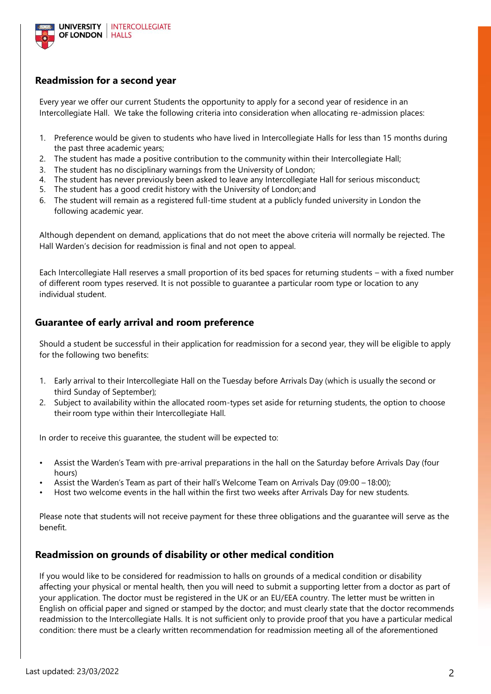

## **Readmission for a second year**

Every year we offer our current Students the opportunity to apply for a second year of residence in an Intercollegiate Hall. We take the following criteria into consideration when allocating re-admission places:

- 1. Preference would be given to students who have lived in Intercollegiate Halls for less than 15 months during the past three academic years;
- 2. The student has made a positive contribution to the community within their Intercollegiate Hall;
- 3. The student has no disciplinary warnings from the University of London;
- The student has never previously been asked to leave any Intercollegiate Hall for serious misconduct;
- 5. The student has a good credit history with the University of London; and
- 6. The student will remain as a registered full-time student at a publicly funded university in London the following academic year.

Although dependent on demand, applications that do not meet the above criteria will normally be rejected. The Hall Warden's decision for readmission is final and not open to appeal.

Each Intercollegiate Hall reserves a small proportion of its bed spaces for returning students – with a fixed number of different room types reserved. It is not possible to guarantee a particular room type or location to any individual student.

## **Guarantee of early arrival and room preference**

Should a student be successful in their application for readmission for a second year, they will be eligible to apply for the following two benefits:

- 1. Early arrival to their Intercollegiate Hall on the Tuesday before Arrivals Day (which is usually the second or third Sunday of September);
- 2. Subject to availability within the allocated room-types set aside for returning students, the option to choose their room type within their Intercollegiate Hall.

In order to receive this guarantee, the student will be expected to:

- Assist the Warden's Team with pre-arrival preparations in the hall on the Saturday before Arrivals Day (four hours)
- Assist the Warden's Team as part of their hall's Welcome Team on Arrivals Day (09:00 18:00);
- Host two welcome events in the hall within the first two weeks after Arrivals Day for new students.

Please note that students will not receive payment for these three obligations and the guarantee will serve as the benefit.

## **Readmission on grounds of disability or other medical condition**

If you would like to be considered for readmission to halls on grounds of a medical condition or disability affecting your physical or mental health, then you will need to submit a supporting letter from a doctor as part of your application. The doctor must be registered in the UK or an EU/EEA country. The letter must be written in English on official paper and signed or stamped by the doctor; and must clearly state that the doctor recommends readmission to the Intercollegiate Halls. It is not sufficient only to provide proof that you have a particular medical condition: there must be a clearly written recommendation for readmission meeting all of the aforementioned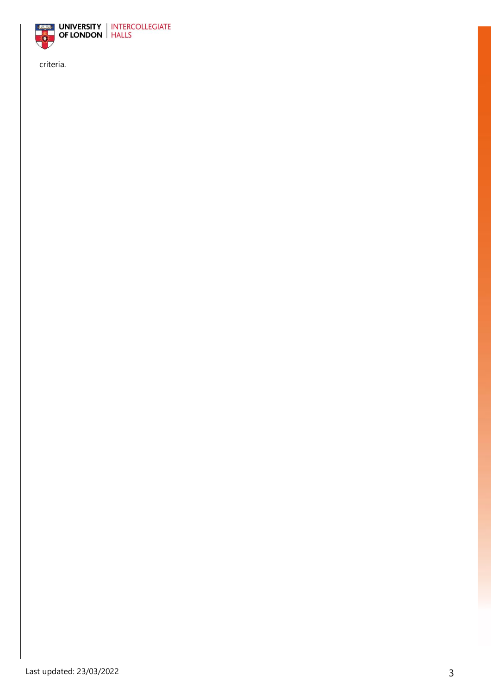

criteria.